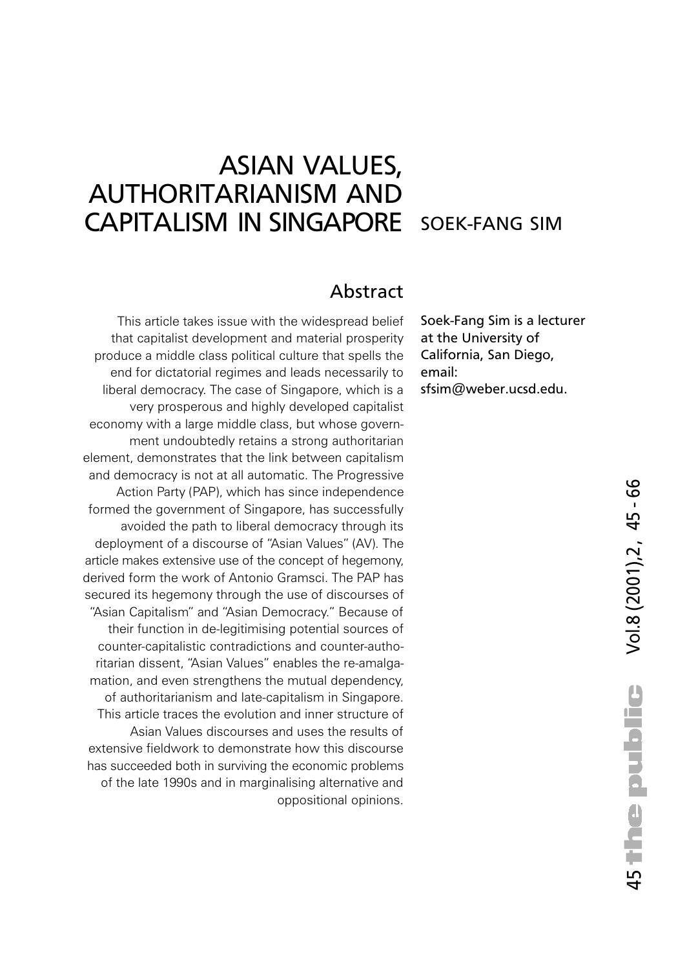## ASIAN VALUES, AUTHORITARIANISM AND CAPITALISM IN SINGAPORE SOEK-FANG SIM

#### Abstract

This article takes issue with the widespread belief that capitalist development and material prosperity produce a middle class political culture that spells the end for dictatorial regimes and leads necessarily to liberal democracy. The case of Singapore, which is a very prosperous and highly developed capitalist economy with a large middle class, but whose government undoubtedly retains a strong authoritarian element, demonstrates that the link between capitalism and democracy is not at all automatic. The Progressive Action Party (PAP), which has since independence formed the government of Singapore, has successfully avoided the path to liberal democracy through its deployment of a discourse of "Asian Values" (AV). The article makes extensive use of the concept of hegemony, derived form the work of Antonio Gramsci. The PAP has secured its hegemony through the use of discourses of "Asian Capitalism" and "Asian Democracy." Because of their function in de-legitimising potential sources of counter-capitalistic contradictions and counter-authoritarian dissent, "Asian Values" enables the re-amalgamation, and even strengthens the mutual dependency, of authoritarianism and late-capitalism in Singapore. This article traces the evolution and inner structure of Asian Values discourses and uses the results of extensive fieldwork to demonstrate how this discourse has succeeded both in surviving the economic problems of the late 1990s and in marginalising alternative and oppositional opinions.

Soek-Fang Sim is a lecturer at the University of California, San Diego, email: sfsim@weber.ucsd.edu.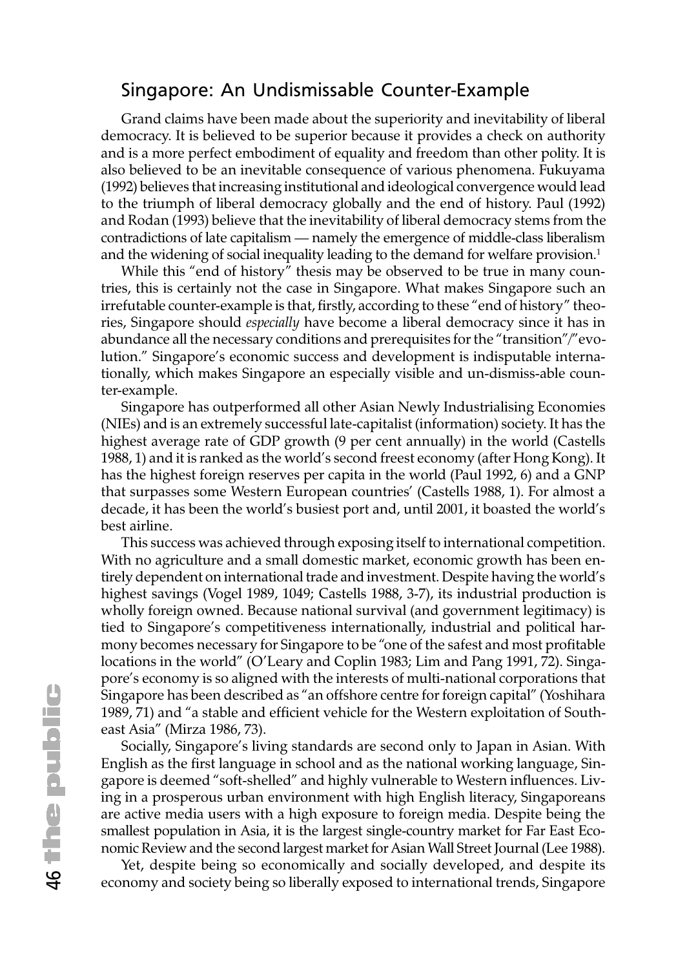#### Singapore: An Undismissable Counter-Example

Grand claims have been made about the superiority and inevitability of liberal democracy. It is believed to be superior because it provides a check on authority and is a more perfect embodiment of equality and freedom than other polity. It is also believed to be an inevitable consequence of various phenomena. Fukuyama (1992) believes that increasing institutional and ideological convergence would lead to the triumph of liberal democracy globally and the end of history. Paul (1992) and Rodan (1993) believe that the inevitability of liberal democracy stems from the contradictions of late capitalism — namely the emergence of middle-class liberalism and the widening of social inequality leading to the demand for welfare provision.<sup>1</sup>

While this "end of history" thesis may be observed to be true in many countries, this is certainly not the case in Singapore. What makes Singapore such an irrefutable counter-example is that, firstly, according to these "end of history" theories, Singapore should especially have become a liberal democracy since it has in abundance all the necessary conditions and prerequisites for the "transition"/"evolution." Singapore's economic success and development is indisputable internationally, which makes Singapore an especially visible and un-dismiss-able counter-example.

Singapore has outperformed all other Asian Newly Industrialising Economies (NIEs) and is an extremely successful late-capitalist (information) society. It has the highest average rate of GDP growth (9 per cent annually) in the world (Castells 1988, 1) and it is ranked as the world's second freest economy (after Hong Kong). It has the highest foreign reserves per capita in the world (Paul 1992, 6) and a GNP that surpasses some Western European countries' (Castells 1988, 1). For almost a decade, it has been the world's busiest port and, until 2001, it boasted the world's best airline.

This success was achieved through exposing itself to international competition. With no agriculture and a small domestic market, economic growth has been entirely dependent on international trade and investment. Despite having the world's highest savings (Vogel 1989, 1049; Castells 1988, 3-7), its industrial production is wholly foreign owned. Because national survival (and government legitimacy) is tied to Singapore's competitiveness internationally, industrial and political harmony becomes necessary for Singapore to be "one of the safest and most profitable locations in the world" (O'Leary and Coplin 1983; Lim and Pang 1991, 72). Singapore's economy is so aligned with the interests of multi-national corporations that Singapore has been described as "an offshore centre for foreign capital" (Yoshihara 1989, 71) and "a stable and efficient vehicle for the Western exploitation of Southeast Asia" (Mirza 1986, 73).

Socially, Singapore's living standards are second only to Japan in Asian. With English as the first language in school and as the national working language, Singapore is deemed "soft-shelled" and highly vulnerable to Western influences. Living in a prosperous urban environment with high English literacy, Singaporeans are active media users with a high exposure to foreign media. Despite being the smallest population in Asia, it is the largest single-country market for Far East Economic Review and the second largest market for Asian Wall Street Journal (Lee 1988).

Yet, despite being so economically and socially developed, and despite its economy and society being so liberally exposed to international trends, Singapore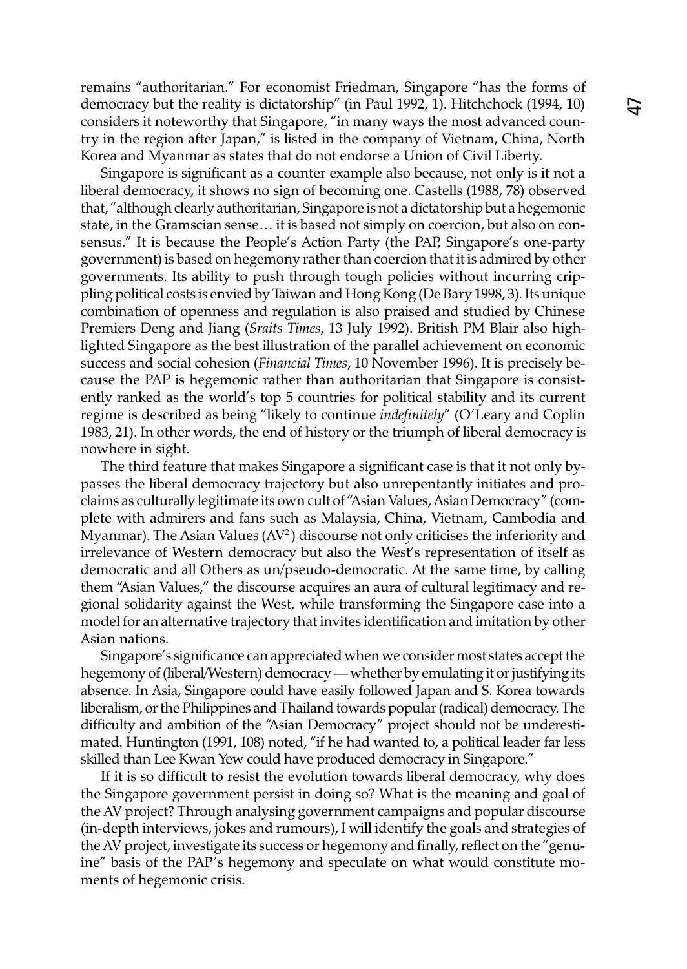remains "authoritarian." For economist Friedman, Singapore "has the forms of democracy but the reality is dictatorship" (in Paul 1992, 1). Hitchchock (1994, 10) considers it noteworthy that Singapore, "in many ways the most advanced country in the region after Japan," is listed in the company of Vietnam, China, North Korea and Myanmar as states that do not endorse a Union of Civil Liberty.

Singapore is significant as a counter example also because, not only is it not a liberal democracy, it shows no sign of becoming one. Castells (1988, 78) observed that, "although clearly authoritarian, Singapore is not a dictatorship but a hegemonic state, in the Gramscian sense... it is based not simply on coercion, but also on consensus." It is because the People's Action Party (the PAP, Singapore's one-party government) is based on hegemony rather than coercion that it is admired by other governments. Its ability to push through tough policies without incurring crippling political costs is envied by Taiwan and Hong Kong (De Bary 1998, 3). Its unique combination of openness and regulation is also praised and studied by Chinese Premiers Deng and Jiang (Sraits Times, 13 July 1992). British PM Blair also highlighted Singapore as the best illustration of the parallel achievement on economic success and social cohesion (Financial Times, 10 November 1996). It is precisely because the PAP is hegemonic rather than authoritarian that Singapore is consistently ranked as the world's top 5 countries for political stability and its current regime is described as being "likely to continue *indefinitely"* (O'Leary and Coplin 1983, 21). In other words, the end of history or the triumph of liberal democracy is nowhere in sight.

The third feature that makes Singapore a significant case is that it not only bypasses the liberal democracy trajectory but also unrepentantly initiates and proclaims as culturally legitimate its own cult of "Asian Values, Asian Democracy" (complete with admirers and fans such as Malaysia, China, Vietnam, Cambodia and Myanmar). The Asian Values (AV<sup>2</sup>) discourse not only criticises the inferiority and irrelevance of Western democracy but also the West's representation of itself as democratic and all Others as un/pseudo-democratic. At the same time, by calling them "Asian Values," the discourse acquires an aura of cultural legitimacy and regional solidarity against the West, while transforming the Singapore case into a model for an alternative trajectory that invites identification and imitation by other Asian nations.

Singapore's significance can appreciated when we consider most states accept the hegemony of (liberal/Western) democracy — whether by emulating it or justifying its absence. In Asia, Singapore could have easily followed Japan and S. Korea towards liberalism, or the Philippines and Thailand towards popular (radical) democracy. The difficulty and ambition of the "Asian Democracy" project should not be underestimated. Huntington (1991, 108) noted, "if he had wanted to, a political leader far less skilled than Lee Kwan Yew could have produced democracy in Singapore.

If it is so difficult to resist the evolution towards liberal democracy, why does the Singapore government persist in doing so? What is the meaning and goal of the AV project? Through analysing government campaigns and popular discourse (in-depth interviews, jokes and rumours), I will identify the goals and strategies of the AV project, investigate its success or hegemony and finally, reflect on the "genuine" basis of the PAP's hegemony and speculate on what would constitute moments of hegemonic crisis.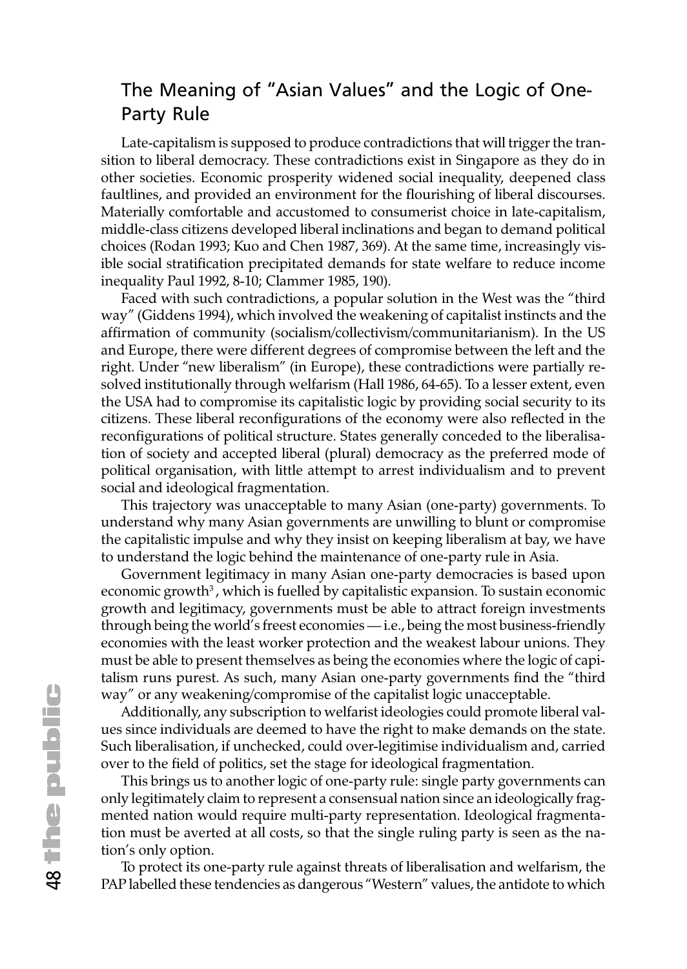## The Meaning of "Asian Values" and the Logic of One-Party Rule

Late-capitalism is supposed to produce contradictions that will trigger the transition to liberal democracy. These contradictions exist in Singapore as they do in other societies. Economic prosperity widened social inequality, deepened class faultlines, and provided an environment for the flourishing of liberal discourses. Materially comfortable and accustomed to consumerist choice in late-capitalism, middle-class citizens developed liberal inclinations and began to demand political choices (Rodan 1993; Kuo and Chen 1987, 369). At the same time, increasingly visible social stratification precipitated demands for state welfare to reduce income inequality Paul 1992, 8-10; Clammer 1985, 190).

Faced with such contradictions, a popular solution in the West was the "third" way (Giddens 1994), which involved the weakening of capitalist instincts and the affirmation of community (socialism/collectivism/communitarianism). In the US and Europe, there were different degrees of compromise between the left and the right. Under "new liberalism" (in Europe), these contradictions were partially resolved institutionally through welfarism (Hall 1986, 64-65). To a lesser extent, even the USA had to compromise its capitalistic logic by providing social security to its citizens. These liberal reconfigurations of the economy were also reflected in the reconfigurations of political structure. States generally conceded to the liberalisation of society and accepted liberal (plural) democracy as the preferred mode of political organisation, with little attempt to arrest individualism and to prevent social and ideological fragmentation.

This trajectory was unacceptable to many Asian (one-party) governments. To understand why many Asian governments are unwilling to blunt or compromise the capitalistic impulse and why they insist on keeping liberalism at bay, we have to understand the logic behind the maintenance of one-party rule in Asia.

Government legitimacy in many Asian one-party democracies is based upon economic growth<sup>3</sup>, which is fuelled by capitalistic expansion. To sustain economic growth and legitimacy, governments must be able to attract foreign investments through being the world's freest economies — i.e., being the most business-friendly economies with the least worker protection and the weakest labour unions. They must be able to present themselves as being the economies where the logic of capitalism runs purest. As such, many Asian one-party governments find the "third" way" or any weakening/compromise of the capitalist logic unacceptable.

Additionally, any subscription to welfarist ideologies could promote liberal values since individuals are deemed to have the right to make demands on the state. Such liberalisation, if unchecked, could over-legitimise individualism and, carried over to the field of politics, set the stage for ideological fragmentation.

This brings us to another logic of one-party rule: single party governments can only legitimately claim to represent a consensual nation since an ideologically fragmented nation would require multi-party representation. Ideological fragmentation must be averted at all costs, so that the single ruling party is seen as the nation's only option.

To protect its one-party rule against threats of liberalisation and welfarism, the PAP labelled these tendencies as dangerous "Western" values, the antidote to which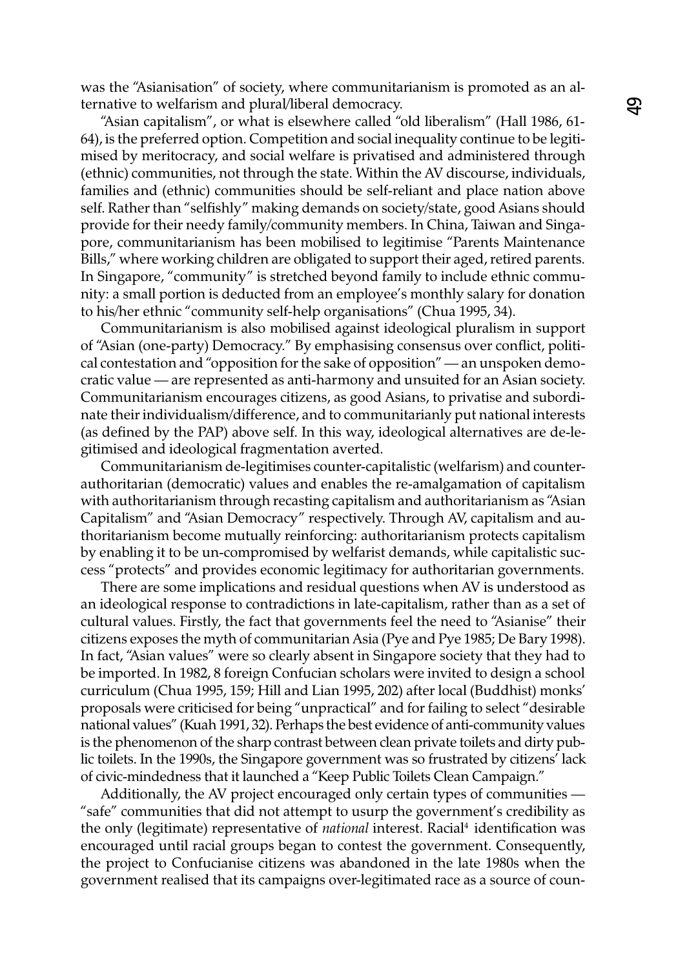was the "Asianisation" of society, where communitarianism is promoted as an alternative to welfarism and plural/liberal democracy.

"Asian capitalism", or what is elsewhere called "old liberalism" (Hall 1986, 61-64), is the preferred option. Competition and social inequality continue to be legitimised by meritocracy, and social welfare is privatised and administered through (ethnic) communities, not through the state. Within the AV discourse, individuals, families and (ethnic) communities should be self-reliant and place nation above self. Rather than "selfishly" making demands on society/state, good Asians should provide for their needy family/community members. In China, Taiwan and Singapore, communitarianism has been mobilised to legitimise "Parents Maintenance Bills," where working children are obligated to support their aged, retired parents. In Singapore, "community" is stretched beyond family to include ethnic community: a small portion is deducted from an employee's monthly salary for donation to his/her ethnic "community self-help organisations" (Chua 1995, 34).

Communitarianism is also mobilised against ideological pluralism in support of "Asian (one-party) Democracy." By emphasising consensus over conflict, political contestation and "opposition for the sake of opposition"  $-$  an unspoken democratic value - are represented as anti-harmony and unsuited for an Asian society. Communitarianism encourages citizens, as good Asians, to privatise and subordinate their individualism/difference, and to communitarianly put national interests (as defined by the PAP) above self. In this way, ideological alternatives are de-legitimised and ideological fragmentation averted.

Communitarianism de-legitimises counter-capitalistic (welfarism) and counterauthoritarian (democratic) values and enables the re-amalgamation of capitalism with authoritarianism through recasting capitalism and authoritarianism as "Asian Capitalism" and "Asian Democracy" respectively. Through AV, capitalism and authoritarianism become mutually reinforcing: authoritarianism protects capitalism by enabling it to be un-compromised by welfarist demands, while capitalistic success "protects" and provides economic legitimacy for authoritarian governments.

There are some implications and residual questions when AV is understood as an ideological response to contradictions in late-capitalism, rather than as a set of cultural values. Firstly, the fact that governments feel the need to "Asianise" their citizens exposes the myth of communitarian Asia (Pye and Pye 1985; De Bary 1998). In fact, "Asian values" were so clearly absent in Singapore society that they had to be imported. In 1982, 8 foreign Confucian scholars were invited to design a school curriculum (Chua 1995, 159; Hill and Lian 1995, 202) after local (Buddhist) monks proposals were criticised for being "unpractical" and for failing to select "desirable national values" (Kuah 1991, 32). Perhaps the best evidence of anti-community values is the phenomenon of the sharp contrast between clean private toilets and dirty public toilets. In the 1990s, the Singapore government was so frustrated by citizens' lack of civic-mindedness that it launched a "Keep Public Toilets Clean Campaign."

Additionally, the AV project encouraged only certain types of communities "safe" communities that did not attempt to usurp the government's credibility as the only (legitimate) representative of national interest. Racial<sup>4</sup> identification was encouraged until racial groups began to contest the government. Consequently, the project to Confucianise citizens was abandoned in the late 1980s when the government realised that its campaigns over-legitimated race as a source of coun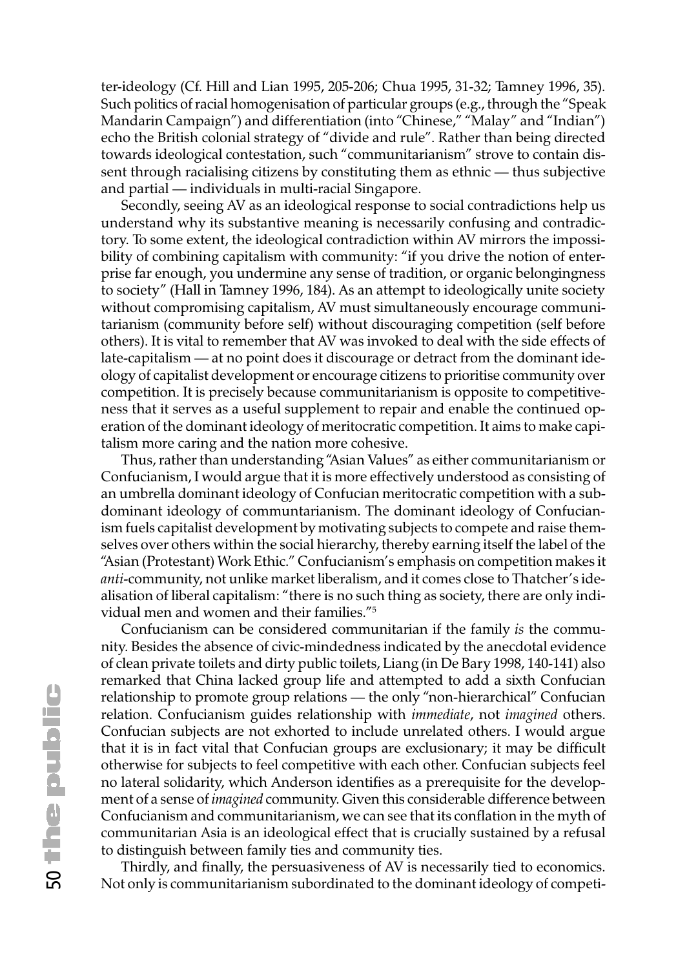ter-ideology (Cf. Hill and Lian 1995, 205-206; Chua 1995, 31-32; Tamney 1996, 35). Such politics of racial homogenisation of particular groups (e.g., through the "Speak Mandarin Campaign") and differentiation (into "Chinese," "Malay" and "Indian") echo the British colonial strategy of "divide and rule". Rather than being directed towards ideological contestation, such "communitarianism" strove to contain dissent through racialising citizens by constituting them as ethnic — thus subjective and partial  $-$  individuals in multi-racial Singapore.

Secondly, seeing AV as an ideological response to social contradictions help us understand why its substantive meaning is necessarily confusing and contradictory. To some extent, the ideological contradiction within AV mirrors the impossibility of combining capitalism with community: "if you drive the notion of enterprise far enough, you undermine any sense of tradition, or organic belongingness to society (Hall in Tamney 1996, 184). As an attempt to ideologically unite society without compromising capitalism, AV must simultaneously encourage communitarianism (community before self) without discouraging competition (self before others). It is vital to remember that AV was invoked to deal with the side effects of late-capitalism — at no point does it discourage or detract from the dominant ideology of capitalist development or encourage citizens to prioritise community over competition. It is precisely because communitarianism is opposite to competitiveness that it serves as a useful supplement to repair and enable the continued operation of the dominant ideology of meritocratic competition. It aims to make capitalism more caring and the nation more cohesive.

Thus, rather than understanding "Asian Values" as either communitarianism or Confucianism, I would argue that it is more effectively understood as consisting of an umbrella dominant ideology of Confucian meritocratic competition with a subdominant ideology of communtarianism. The dominant ideology of Confucianism fuels capitalist development by motivating subjects to compete and raise themselves over others within the social hierarchy, thereby earning itself the label of the "Asian (Protestant) Work Ethic." Confucianism's emphasis on competition makes it anti-community, not unlike market liberalism, and it comes close to Thatcher's idealisation of liberal capitalism: "there is no such thing as society, there are only individual men and women and their families."<sup>5</sup>

Confucianism can be considered communitarian if the family is the community. Besides the absence of civic-mindedness indicated by the anecdotal evidence of clean private toilets and dirty public toilets, Liang (in De Bary 1998, 140-141) also remarked that China lacked group life and attempted to add a sixth Confucian relationship to promote group relations  $-$  the only "non-hierarchical" Confucian relation. Confucianism guides relationship with *immediate*, not *imagined* others. Confucian subjects are not exhorted to include unrelated others. I would argue that it is in fact vital that Confucian groups are exclusionary; it may be difficult otherwise for subjects to feel competitive with each other. Confucian subjects feel no lateral solidarity, which Anderson identifies as a prerequisite for the development of a sense of imagined community. Given this considerable difference between Confucianism and communitarianism, we can see that its conflation in the myth of communitarian Asia is an ideological effect that is crucially sustained by a refusal to distinguish between family ties and community ties.

Thirdly, and finally, the persuasiveness of AV is necessarily tied to economics. Not only is communitarianism subordinated to the dominant ideology of competi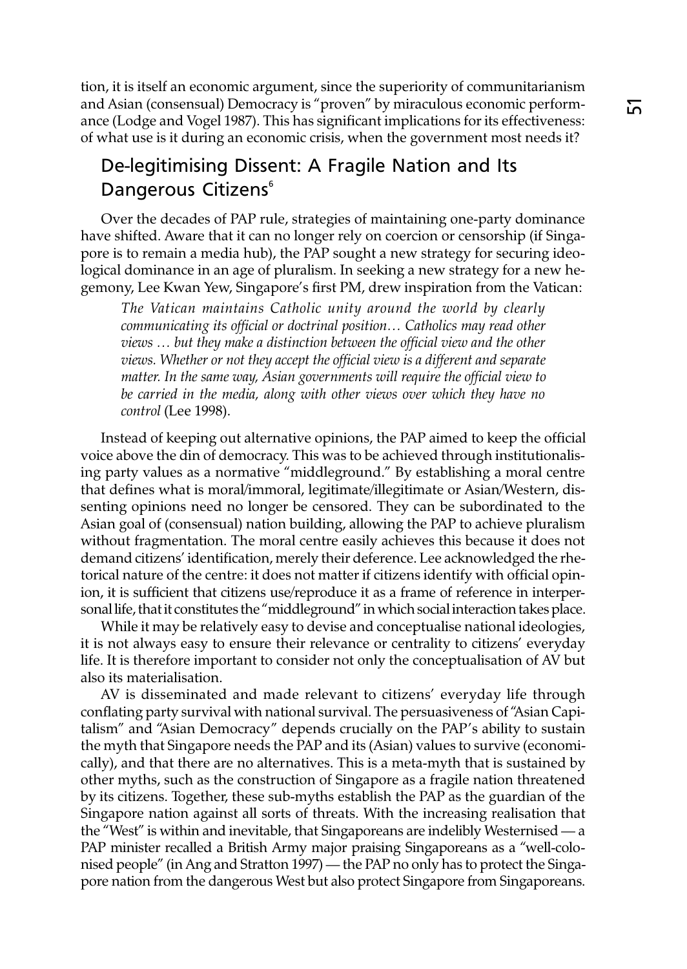tion, it is itself an economic argument, since the superiority of communitarianism and Asian (consensual) Democracy is "proven" by miraculous economic performance (Lodge and Vogel 1987). This has significant implications for its effectiveness: of what use is it during an economic crisis, when the government most needs it?

# De-legitimising Dissent: A Fragile Nation and Its Dangerous Citizens<sup>6</sup>

Over the decades of PAP rule, strategies of maintaining one-party dominance have shifted. Aware that it can no longer rely on coercion or censorship (if Singapore is to remain a media hub), the PAP sought a new strategy for securing ideological dominance in an age of pluralism. In seeking a new strategy for a new hegemony, Lee Kwan Yew, Singapore's first PM, drew inspiration from the Vatican:

The Vatican maintains Catholic unity around the world by clearly communicating its official or doctrinal position... Catholics may read other views ... but they make a distinction between the official view and the other views. Whether or not they accept the official view is a different and separate matter. In the same way, Asian governments will require the official view to be carried in the media, along with other views over which they have no control (Lee 1998).

Instead of keeping out alternative opinions, the PAP aimed to keep the official voice above the din of democracy. This was to be achieved through institutionalising party values as a normative "middleground." By establishing a moral centre that defines what is moral/immoral, legitimate/illegitimate or Asian/Western, dissenting opinions need no longer be censored. They can be subordinated to the Asian goal of (consensual) nation building, allowing the PAP to achieve pluralism without fragmentation. The moral centre easily achieves this because it does not demand citizens' identification, merely their deference. Lee acknowledged the rhetorical nature of the centre: it does not matter if citizens identify with official opinion, it is sufficient that citizens use/reproduce it as a frame of reference in interpersonal life, that it constitutes the "middleground" in which social interaction takes place.

While it may be relatively easy to devise and conceptualise national ideologies, it is not always easy to ensure their relevance or centrality to citizens' everyday life. It is therefore important to consider not only the conceptualisation of AV but also its materialisation.

AV is disseminated and made relevant to citizens' everyday life through conflating party survival with national survival. The persuasiveness of "Asian Capitalism" and "Asian Democracy" depends crucially on the PAP's ability to sustain the myth that Singapore needs the PAP and its (Asian) values to survive (economically), and that there are no alternatives. This is a meta-myth that is sustained by other myths, such as the construction of Singapore as a fragile nation threatened by its citizens. Together, these sub-myths establish the PAP as the guardian of the Singapore nation against all sorts of threats. With the increasing realisation that the "West" is within and inevitable, that Singaporeans are indelibly Westernised  $\equiv$  a PAP minister recalled a British Army major praising Singaporeans as a "well-colonised people" (in Ang and Stratton 1997) — the PAP no only has to protect the Singapore nation from the dangerous West but also protect Singapore from Singaporeans.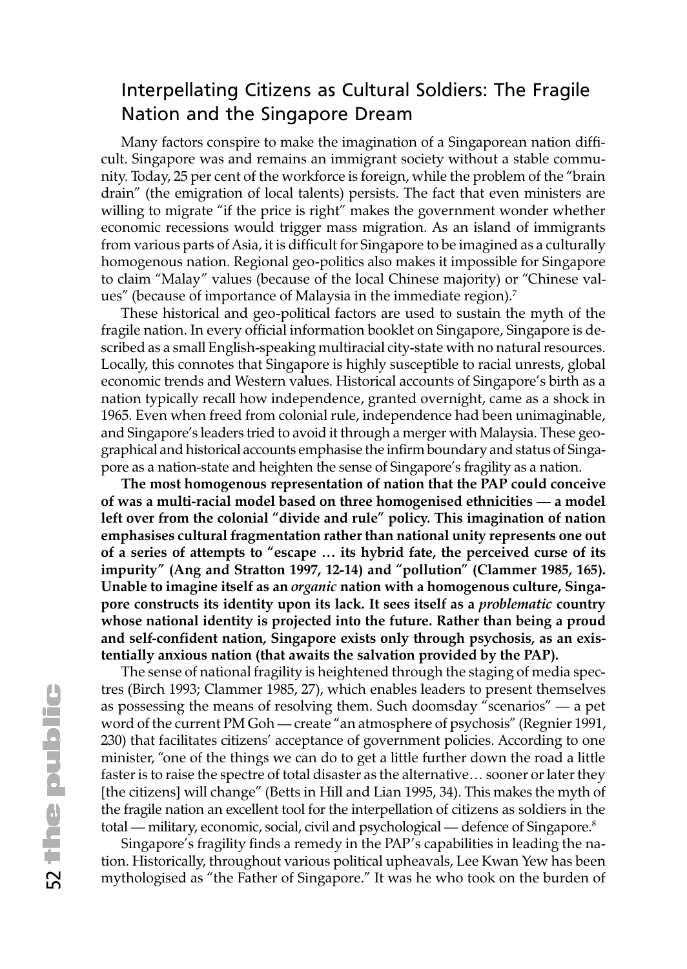## Interpellating Citizens as Cultural Soldiers: The Fragile Nation and the Singapore Dream

Many factors conspire to make the imagination of a Singaporean nation difficult. Singapore was and remains an immigrant society without a stable community. Today, 25 per cent of the workforce is foreign, while the problem of the "brain drain" (the emigration of local talents) persists. The fact that even ministers are willing to migrate "if the price is right" makes the government wonder whether economic recessions would trigger mass migration. As an island of immigrants from various parts of Asia, it is difficult for Singapore to be imagined as a culturally homogenous nation. Regional geo-politics also makes it impossible for Singapore to claim "Malay" values (because of the local Chinese majority) or "Chinese values" (because of importance of Malaysia in the immediate region).<sup>7</sup>

These historical and geo-political factors are used to sustain the myth of the fragile nation. In every official information booklet on Singapore, Singapore is described as a small English-speaking multiracial city-state with no natural resources. Locally, this connotes that Singapore is highly susceptible to racial unrests, global economic trends and Western values. Historical accounts of Singapore's birth as a nation typically recall how independence, granted overnight, came as a shock in 1965. Even when freed from colonial rule, independence had been unimaginable, and Singapore's leaders tried to avoid it through a merger with Malaysia. These geographical and historical accounts emphasise the infirm boundary and status of Singapore as a nation-state and heighten the sense of Singapore's fragility as a nation.

The most homogenous representation of nation that the PAP could conceive of was a multi-racial model based on three homogenised ethnicities — a model left over from the colonial "divide and rule" policy. This imagination of nation emphasises cultural fragmentation rather than national unity represents one out of a series of attempts to "escape ... its hybrid fate, the perceived curse of its impurity" (Ang and Stratton 1997, 12-14) and "pollution" (Clammer 1985, 165). Unable to imagine itself as an *organic* nation with a homogenous culture, Singapore constructs its identity upon its lack. It sees itself as a *problematic* country whose national identity is projected into the future. Rather than being a proud and self-confident nation, Singapore exists only through psychosis, as an existentially anxious nation (that awaits the salvation provided by the PAP).

The sense of national fragility is heightened through the staging of media spectres (Birch 1993; Clammer 1985, 27), which enables leaders to present themselves as possessing the means of resolving them. Such doomsday "scenarios"  $-$  a pet word of the current PM Goh — create "an atmosphere of psychosis" (Regnier 1991, 230) that facilitates citizens' acceptance of government policies. According to one minister, "one of the things we can do to get a little further down the road a little faster is to raise the spectre of total disaster as the alternative... sooner or later they [the citizens] will change" (Betts in Hill and Lian 1995, 34). This makes the myth of the fragile nation an excellent tool for the interpellation of citizens as soldiers in the total — military, economic, social, civil and psychological — defence of Singapore.<sup>8</sup>

Singapore's fragility finds a remedy in the PAP's capabilities in leading the nation. Historically, throughout various political upheavals, Lee Kwan Yew has been mythologised as "the Father of Singapore." It was he who took on the burden of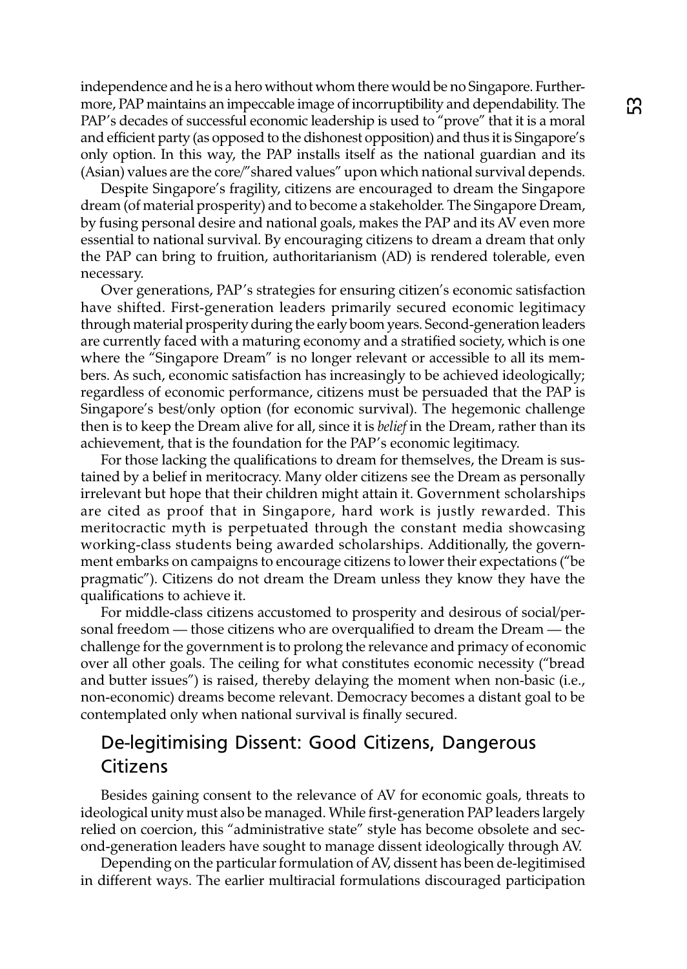independence and he is a hero without whom there would be no Singapore. Furthermore, PAP maintains an impeccable image of incorruptibility and dependability. The PAP's decades of successful economic leadership is used to "prove" that it is a moral and efficient party (as opposed to the dishonest opposition) and thus it is Singapore's only option. In this way, the PAP installs itself as the national guardian and its (Asian) values are the core/"shared values" upon which national survival depends.

Despite Singapore's fragility, citizens are encouraged to dream the Singapore dream (of material prosperity) and to become a stakeholder. The Singapore Dream, by fusing personal desire and national goals, makes the PAP and its AV even more essential to national survival. By encouraging citizens to dream a dream that only the PAP can bring to fruition, authoritarianism (AD) is rendered tolerable, even necessary.

Over generations, PAP's strategies for ensuring citizen's economic satisfaction have shifted. First-generation leaders primarily secured economic legitimacy through material prosperity during the early boom years. Second-generation leaders are currently faced with a maturing economy and a stratified society, which is one where the "Singapore Dream" is no longer relevant or accessible to all its members. As such, economic satisfaction has increasingly to be achieved ideologically; regardless of economic performance, citizens must be persuaded that the PAP is Singapore's best/only option (for economic survival). The hegemonic challenge then is to keep the Dream alive for all, since it is *belief* in the Dream, rather than its achievement, that is the foundation for the PAP's economic legitimacy.

For those lacking the qualifications to dream for themselves, the Dream is sustained by a belief in meritocracy. Many older citizens see the Dream as personally irrelevant but hope that their children might attain it. Government scholarships are cited as proof that in Singapore, hard work is justly rewarded. This meritocractic myth is perpetuated through the constant media showcasing working-class students being awarded scholarships. Additionally, the government embarks on campaigns to encourage citizens to lower their expectations ("be pragmatic). Citizens do not dream the Dream unless they know they have the qualifications to achieve it.

For middle-class citizens accustomed to prosperity and desirous of social/personal freedom — those citizens who are overqualified to dream the Dream — the challenge for the government is to prolong the relevance and primacy of economic over all other goals. The ceiling for what constitutes economic necessity ("bread and butter issues") is raised, thereby delaying the moment when non-basic (i.e., non-economic) dreams become relevant. Democracy becomes a distant goal to be contemplated only when national survival is finally secured.

## De-legitimising Dissent: Good Citizens, Dangerous **Citizens**

Besides gaining consent to the relevance of AV for economic goals, threats to ideological unity must also be managed. While first-generation PAP leaders largely relied on coercion, this "administrative state" style has become obsolete and second-generation leaders have sought to manage dissent ideologically through AV.

Depending on the particular formulation of AV, dissent has been de-legitimised in different ways. The earlier multiracial formulations discouraged participation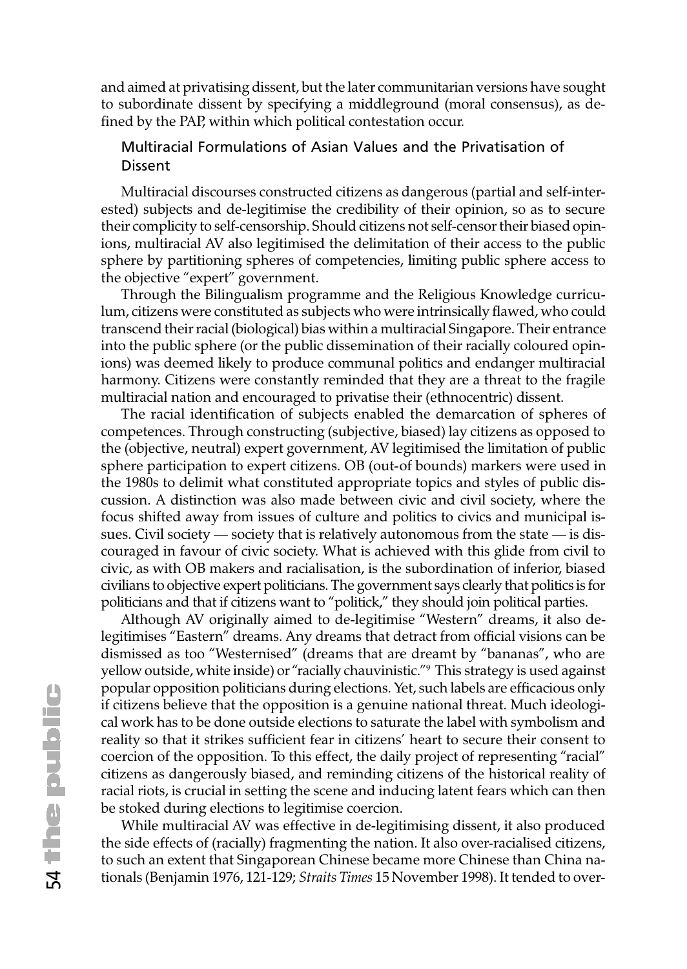and aimed at privatising dissent, but the later communitarian versions have sought to subordinate dissent by specifying a middleground (moral consensus), as defined by the PAP, within which political contestation occur.

#### Multiracial Formulations of Asian Values and the Privatisation of Dissent

Multiracial discourses constructed citizens as dangerous (partial and self-interested) subjects and de-legitimise the credibility of their opinion, so as to secure their complicity to self-censorship. Should citizens not self-censor their biased opinions, multiracial AV also legitimised the delimitation of their access to the public sphere by partitioning spheres of competencies, limiting public sphere access to the objective "expert" government.

Through the Bilingualism programme and the Religious Knowledge curriculum, citizens were constituted as subjects who were intrinsically flawed, who could transcend their racial (biological) bias within a multiracial Singapore. Their entrance into the public sphere (or the public dissemination of their racially coloured opinions) was deemed likely to produce communal politics and endanger multiracial harmony. Citizens were constantly reminded that they are a threat to the fragile multiracial nation and encouraged to privatise their (ethnocentric) dissent.

The racial identification of subjects enabled the demarcation of spheres of competences. Through constructing (subjective, biased) lay citizens as opposed to the (objective, neutral) expert government, AV legitimised the limitation of public sphere participation to expert citizens. OB (out-of bounds) markers were used in the 1980s to delimit what constituted appropriate topics and styles of public discussion. A distinction was also made between civic and civil society, where the focus shifted away from issues of culture and politics to civics and municipal issues. Civil society  $-$  society that is relatively autonomous from the state  $-$  is discouraged in favour of civic society. What is achieved with this glide from civil to civic, as with OB makers and racialisation, is the subordination of inferior, biased civilians to objective expert politicians. The government says clearly that politics is for politicians and that if citizens want to "politick," they should join political parties.

Although AV originally aimed to de-legitimise "Western" dreams, it also delegitimises "Eastern" dreams. Any dreams that detract from official visions can be dismissed as too "Westernised" (dreams that are dreamt by "bananas", who are yellow outside, white inside) or "racially chauvinistic."<sup>9</sup> This strategy is used against popular opposition politicians during elections. Yet, such labels are efficacious only if citizens believe that the opposition is a genuine national threat. Much ideological work has to be done outside elections to saturate the label with symbolism and reality so that it strikes sufficient fear in citizens' heart to secure their consent to coercion of the opposition. To this effect, the daily project of representing "racial" citizens as dangerously biased, and reminding citizens of the historical reality of racial riots, is crucial in setting the scene and inducing latent fears which can then be stoked during elections to legitimise coercion.

While multiracial AV was effective in de-legitimising dissent, it also produced the side effects of (racially) fragmenting the nation. It also over-racialised citizens, to such an extent that Singaporean Chinese became more Chinese than China nationals (Benjamin 1976, 121-129; Straits Times 15 November 1998). It tended to over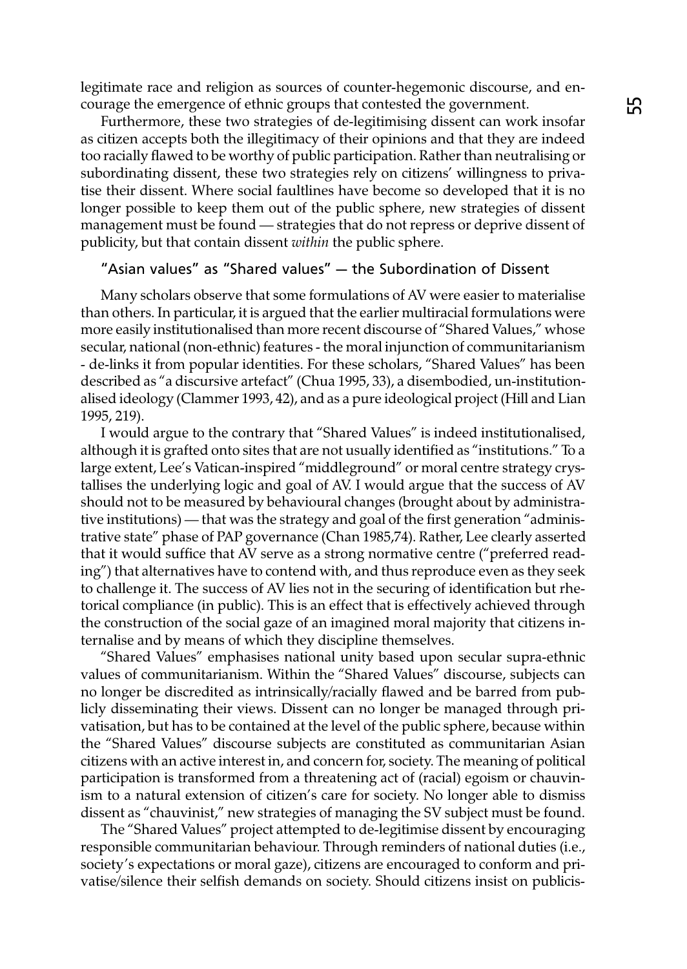legitimate race and religion as sources of counter-hegemonic discourse, and encourage the emergence of ethnic groups that contested the government.

Furthermore, these two strategies of de-legitimising dissent can work insofar as citizen accepts both the illegitimacy of their opinions and that they are indeed too racially flawed to be worthy of public participation. Rather than neutralising or subordinating dissent, these two strategies rely on citizens' willingness to privatise their dissent. Where social faultlines have become so developed that it is no longer possible to keep them out of the public sphere, new strategies of dissent management must be found - strategies that do not repress or deprive dissent of publicity, but that contain dissent within the public sphere.

#### "Asian values" as "Shared values"  $-$  the Subordination of Dissent

Many scholars observe that some formulations of AV were easier to materialise than others. In particular, it is argued that the earlier multiracial formulations were more easily institutionalised than more recent discourse of "Shared Values," whose secular, national (non-ethnic) features - the moral injunction of communitarianism - de-links it from popular identities. For these scholars, "Shared Values" has been described as "a discursive artefact" (Chua 1995, 33), a disembodied, un-institutionalised ideology (Clammer 1993, 42), and as a pure ideological project (Hill and Lian 1995, 219).

I would argue to the contrary that "Shared Values" is indeed institutionalised, although it is grafted onto sites that are not usually identified as "institutions." To a large extent, Lee's Vatican-inspired "middleground" or moral centre strategy crystallises the underlying logic and goal of AV. I would argue that the success of AV should not to be measured by behavioural changes (brought about by administrative institutions) — that was the strategy and goal of the first generation "administrative state" phase of PAP governance (Chan 1985,74). Rather, Lee clearly asserted that it would suffice that AV serve as a strong normative centre ("preferred reading") that alternatives have to contend with, and thus reproduce even as they seek to challenge it. The success of AV lies not in the securing of identification but rhetorical compliance (in public). This is an effect that is effectively achieved through the construction of the social gaze of an imagined moral majority that citizens internalise and by means of which they discipline themselves.

"Shared Values" emphasises national unity based upon secular supra-ethnic values of communitarianism. Within the "Shared Values" discourse, subjects can no longer be discredited as intrinsically/racially flawed and be barred from publicly disseminating their views. Dissent can no longer be managed through privatisation, but has to be contained at the level of the public sphere, because within the "Shared Values" discourse subjects are constituted as communitarian Asian citizens with an active interest in, and concern for, society. The meaning of political participation is transformed from a threatening act of (racial) egoism or chauvinism to a natural extension of citizen's care for society. No longer able to dismiss dissent as "chauvinist," new strategies of managing the SV subject must be found.

The "Shared Values" project attempted to de-legitimise dissent by encouraging responsible communitarian behaviour. Through reminders of national duties (i.e., society's expectations or moral gaze), citizens are encouraged to conform and privatise/silence their selfish demands on society. Should citizens insist on publicis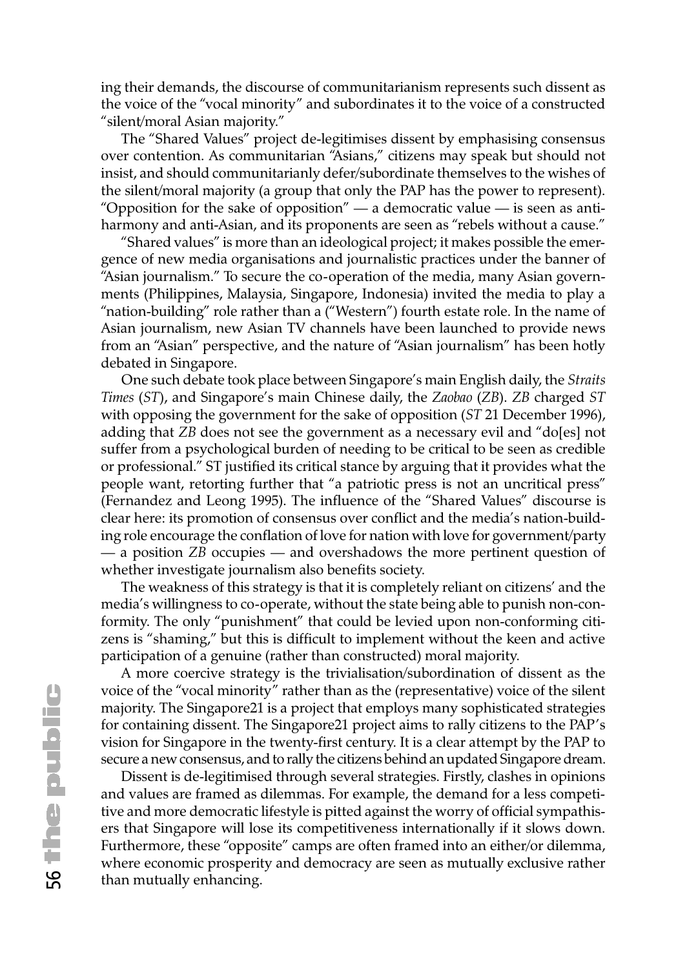ing their demands, the discourse of communitarianism represents such dissent as the voice of the "vocal minority" and subordinates it to the voice of a constructed silent/moral Asian majority.

The "Shared Values" project de-legitimises dissent by emphasising consensus over contention. As communitarian "Asians," citizens may speak but should not insist, and should communitarianly defer/subordinate themselves to the wishes of the silent/moral majority (a group that only the PAP has the power to represent). "Opposition for the sake of opposition"  $-$  a democratic value  $-$  is seen as antiharmony and anti-Asian, and its proponents are seen as "rebels without a cause."

"Shared values" is more than an ideological project; it makes possible the emergence of new media organisations and journalistic practices under the banner of "Asian journalism." To secure the co-operation of the media, many Asian governments (Philippines, Malaysia, Singapore, Indonesia) invited the media to play a "nation-building" role rather than a ("Western") fourth estate role. In the name of Asian journalism, new Asian TV channels have been launched to provide news from an "Asian" perspective, and the nature of "Asian journalism" has been hotly debated in Singapore.

One such debate took place between Singapore's main English daily, the Straits Times (ST), and Singapore's main Chinese daily, the Zaobao (ZB). ZB charged ST with opposing the government for the sake of opposition (ST 21 December 1996), adding that  $ZB$  does not see the government as a necessary evil and "do[es] not suffer from a psychological burden of needing to be critical to be seen as credible or professional." ST justified its critical stance by arguing that it provides what the people want, retorting further that "a patriotic press is not an uncritical press" (Fernandez and Leong 1995). The influence of the "Shared Values" discourse is clear here: its promotion of consensus over conflict and the media's nation-building role encourage the conflation of love for nation with love for government/party  $-$  a position *ZB* occupies  $-$  and overshadows the more pertinent question of whether investigate journalism also benefits society.

The weakness of this strategy is that it is completely reliant on citizens' and the media's willingness to co-operate, without the state being able to punish non-conformity. The only "punishment" that could be levied upon non-conforming citizens is "shaming," but this is difficult to implement without the keen and active participation of a genuine (rather than constructed) moral majority.

A more coercive strategy is the trivialisation/subordination of dissent as the voice of the "vocal minority" rather than as the (representative) voice of the silent majority. The Singapore21 is a project that employs many sophisticated strategies for containing dissent. The Singapore21 project aims to rally citizens to the PAP's vision for Singapore in the twenty-first century. It is a clear attempt by the PAP to secure a new consensus, and to rally the citizens behind an updated Singapore dream.

Dissent is de-legitimised through several strategies. Firstly, clashes in opinions and values are framed as dilemmas. For example, the demand for a less competitive and more democratic lifestyle is pitted against the worry of official sympathisers that Singapore will lose its competitiveness internationally if it slows down. Furthermore, these "opposite" camps are often framed into an either/or dilemma, where economic prosperity and democracy are seen as mutually exclusive rather than mutually enhancing.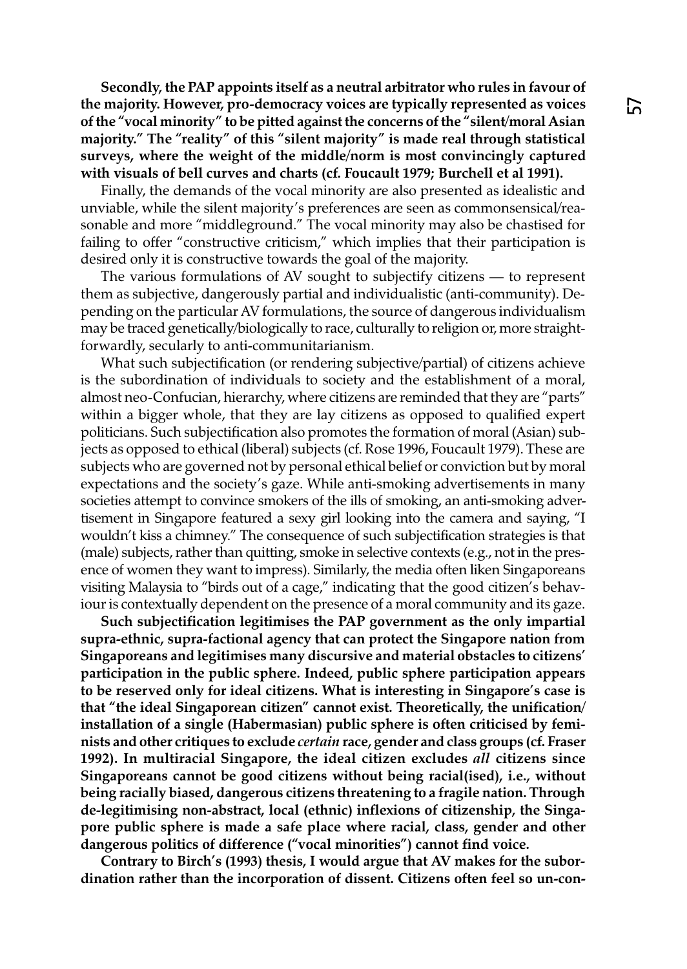Secondly, the PAP appoints itself as a neutral arbitrator who rules in favour of the majority. However, pro-democracy voices are typically represented as voices of the "vocal minority" to be pitted against the concerns of the "silent/moral Asian majority." The "reality" of this "silent majority" is made real through statistical surveys, where the weight of the middle/norm is most convincingly captured with visuals of bell curves and charts (cf. Foucault 1979; Burchell et al 1991).

Finally, the demands of the vocal minority are also presented as idealistic and unviable, while the silent majority's preferences are seen as commonsensical/reasonable and more "middleground." The vocal minority may also be chastised for failing to offer "constructive criticism," which implies that their participation is desired only it is constructive towards the goal of the majority.

The various formulations of AV sought to subjectify citizens - to represent them as subjective, dangerously partial and individualistic (anti-community). Depending on the particular AV formulations, the source of dangerous individualism may be traced genetically/biologically to race, culturally to religion or, more straightforwardly, secularly to anti-communitarianism.

What such subjectification (or rendering subjective/partial) of citizens achieve is the subordination of individuals to society and the establishment of a moral, almost neo-Confucian, hierarchy, where citizens are reminded that they are "parts" within a bigger whole, that they are lay citizens as opposed to qualified expert politicians. Such subjectification also promotes the formation of moral (Asian) subjects as opposed to ethical (liberal) subjects (cf. Rose 1996, Foucault 1979). These are subjects who are governed not by personal ethical belief or conviction but by moral expectations and the society's gaze. While anti-smoking advertisements in many societies attempt to convince smokers of the ills of smoking, an anti-smoking advertisement in Singapore featured a sexy girl looking into the camera and saying, "I wouldn't kiss a chimney." The consequence of such subjectification strategies is that (male) subjects, rather than quitting, smoke in selective contexts (e.g., not in the presence of women they want to impress). Similarly, the media often liken Singaporeans visiting Malaysia to "birds out of a cage," indicating that the good citizen's behaviour is contextually dependent on the presence of a moral community and its gaze.

Such subjectification legitimises the PAP government as the only impartial supra-ethnic, supra-factional agency that can protect the Singapore nation from Singaporeans and legitimises many discursive and material obstacles to citizens participation in the public sphere. Indeed, public sphere participation appears to be reserved only for ideal citizens. What is interesting in Singapore's case is that "the ideal Singaporean citizen" cannot exist. Theoretically, the unification/ installation of a single (Habermasian) public sphere is often criticised by feminists and other critiques to exclude certain race, gender and class groups (cf. Fraser 1992). In multiracial Singapore, the ideal citizen excludes all citizens since Singaporeans cannot be good citizens without being racial(ised), i.e., without being racially biased, dangerous citizens threatening to a fragile nation. Through de-legitimising non-abstract, local (ethnic) inflexions of citizenship, the Singapore public sphere is made a safe place where racial, class, gender and other dangerous politics of difference ("vocal minorities") cannot find voice.

Contrary to Birch's (1993) thesis, I would argue that AV makes for the subordination rather than the incorporation of dissent. Citizens often feel so un-con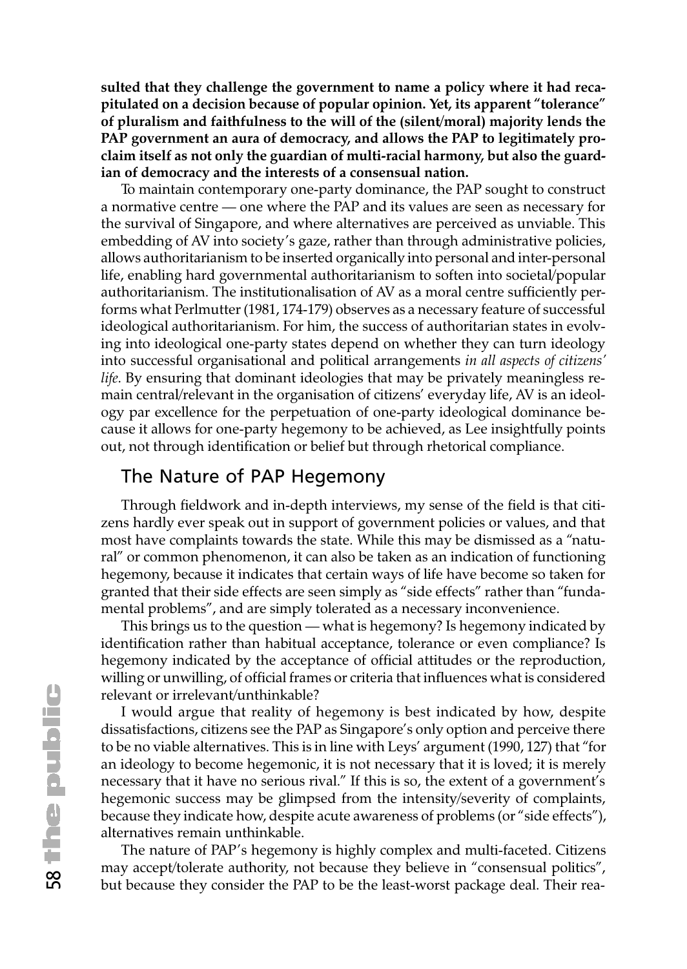sulted that they challenge the government to name a policy where it had recapitulated on a decision because of popular opinion. Yet, its apparent "tolerance" of pluralism and faithfulness to the will of the (silent/moral) majority lends the PAP government an aura of democracy, and allows the PAP to legitimately proclaim itself as not only the guardian of multi-racial harmony, but also the guardian of democracy and the interests of a consensual nation.

To maintain contemporary one-party dominance, the PAP sought to construct a normative centre - one where the PAP and its values are seen as necessary for the survival of Singapore, and where alternatives are perceived as unviable. This embedding of AV into society's gaze, rather than through administrative policies, allows authoritarianism to be inserted organically into personal and inter-personal life, enabling hard governmental authoritarianism to soften into societal/popular authoritarianism. The institutionalisation of AV as a moral centre sufficiently performs what Perlmutter (1981, 174-179) observes as a necessary feature of successful ideological authoritarianism. For him, the success of authoritarian states in evolving into ideological one-party states depend on whether they can turn ideology into successful organisational and political arrangements in all aspects of citizens life. By ensuring that dominant ideologies that may be privately meaningless remain central/relevant in the organisation of citizens' everyday life, AV is an ideology par excellence for the perpetuation of one-party ideological dominance because it allows for one-party hegemony to be achieved, as Lee insightfully points out, not through identification or belief but through rhetorical compliance.

### The Nature of PAP Hegemony

Through fieldwork and in-depth interviews, my sense of the field is that citizens hardly ever speak out in support of government policies or values, and that most have complaints towards the state. While this may be dismissed as a "natural" or common phenomenon, it can also be taken as an indication of functioning hegemony, because it indicates that certain ways of life have become so taken for granted that their side effects are seen simply as "side effects" rather than "fundamental problems", and are simply tolerated as a necessary inconvenience.

This brings us to the question — what is hegemony? Is hegemony indicated by identification rather than habitual acceptance, tolerance or even compliance? Is hegemony indicated by the acceptance of official attitudes or the reproduction, willing or unwilling, of official frames or criteria that influences what is considered relevant or irrelevant/unthinkable?

I would argue that reality of hegemony is best indicated by how, despite dissatisfactions, citizens see the PAP as Singapore's only option and perceive there to be no viable alternatives. This is in line with Leys' argument (1990, 127) that "for an ideology to become hegemonic, it is not necessary that it is loved; it is merely necessary that it have no serious rival." If this is so, the extent of a government's hegemonic success may be glimpsed from the intensity/severity of complaints, because they indicate how, despite acute awareness of problems (or "side effects"), alternatives remain unthinkable.

The nature of PAP's hegemony is highly complex and multi-faceted. Citizens may accept/tolerate authority, not because they believe in "consensual politics", but because they consider the PAP to be the least-worst package deal. Their rea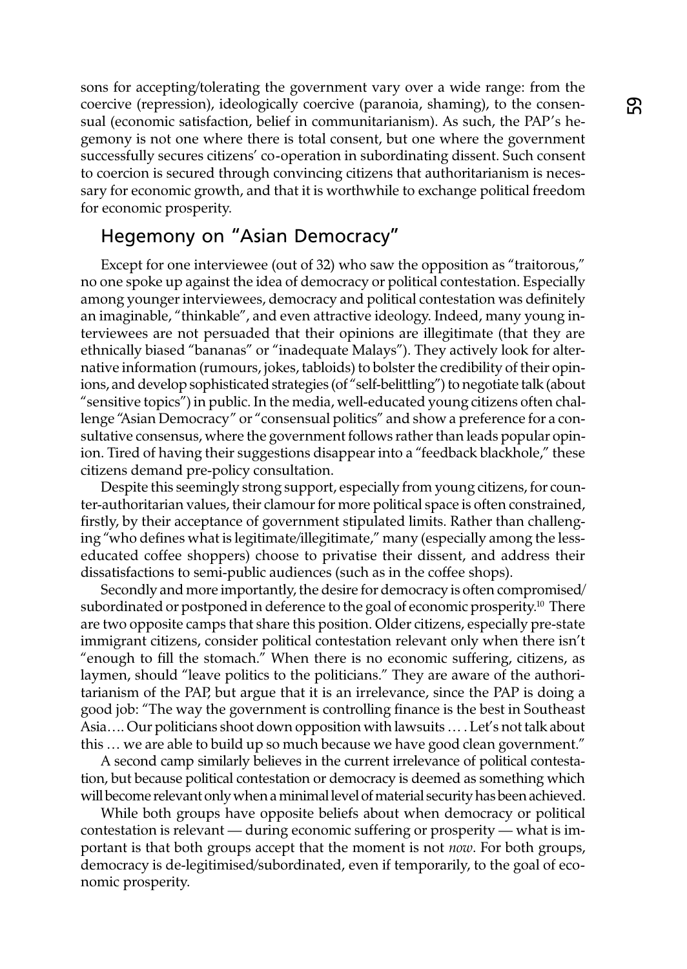sons for accepting/tolerating the government vary over a wide range: from the coercive (repression), ideologically coercive (paranoia, shaming), to the consensual (economic satisfaction, belief in communitarianism). As such, the PAP's hegemony is not one where there is total consent, but one where the government successfully secures citizens' co-operation in subordinating dissent. Such consent to coercion is secured through convincing citizens that authoritarianism is necessary for economic growth, and that it is worthwhile to exchange political freedom for economic prosperity.

### Hegemony on "Asian Democracy"

Except for one interviewee (out of  $32$ ) who saw the opposition as "traitorous," no one spoke up against the idea of democracy or political contestation. Especially among younger interviewees, democracy and political contestation was definitely an imaginable, "thinkable", and even attractive ideology. Indeed, many young interviewees are not persuaded that their opinions are illegitimate (that they are ethnically biased "bananas" or "inadequate Malays"). They actively look for alternative information (rumours, jokes, tabloids) to bolster the credibility of their opinions, and develop sophisticated strategies (of "self-belittling") to negotiate talk (about "sensitive topics") in public. In the media, well-educated young citizens often challenge "Asian Democracy" or "consensual politics" and show a preference for a consultative consensus, where the government follows rather than leads popular opinion. Tired of having their suggestions disappear into a "feedback blackhole," these citizens demand pre-policy consultation.

Despite this seemingly strong support, especially from young citizens, for counter-authoritarian values, their clamour for more political space is often constrained, firstly, by their acceptance of government stipulated limits. Rather than challenging "who defines what is legitimate/illegitimate," many (especially among the lesseducated coffee shoppers) choose to privatise their dissent, and address their dissatisfactions to semi-public audiences (such as in the coffee shops).

Secondly and more importantly, the desire for democracy is often compromised/ subordinated or postponed in deference to the goal of economic prosperity.<sup>10</sup> There are two opposite camps that share this position. Older citizens, especially pre-state immigrant citizens, consider political contestation relevant only when there isn't "enough to fill the stomach." When there is no economic suffering, citizens, as laymen, should "leave politics to the politicians." They are aware of the authoritarianism of the PAP, but argue that it is an irrelevance, since the PAP is doing a good job: The way the government is controlling finance is the best in Southeast Asia.... Our politicians shoot down opposition with lawsuits ... . Let's not talk about this ... we are able to build up so much because we have good clean government."

A second camp similarly believes in the current irrelevance of political contestation, but because political contestation or democracy is deemed as something which will become relevant only when a minimal level of material security has been achieved.

While both groups have opposite beliefs about when democracy or political contestation is relevant — during economic suffering or prosperity — what is important is that both groups accept that the moment is not *now*. For both groups, democracy is de-legitimised/subordinated, even if temporarily, to the goal of economic prosperity.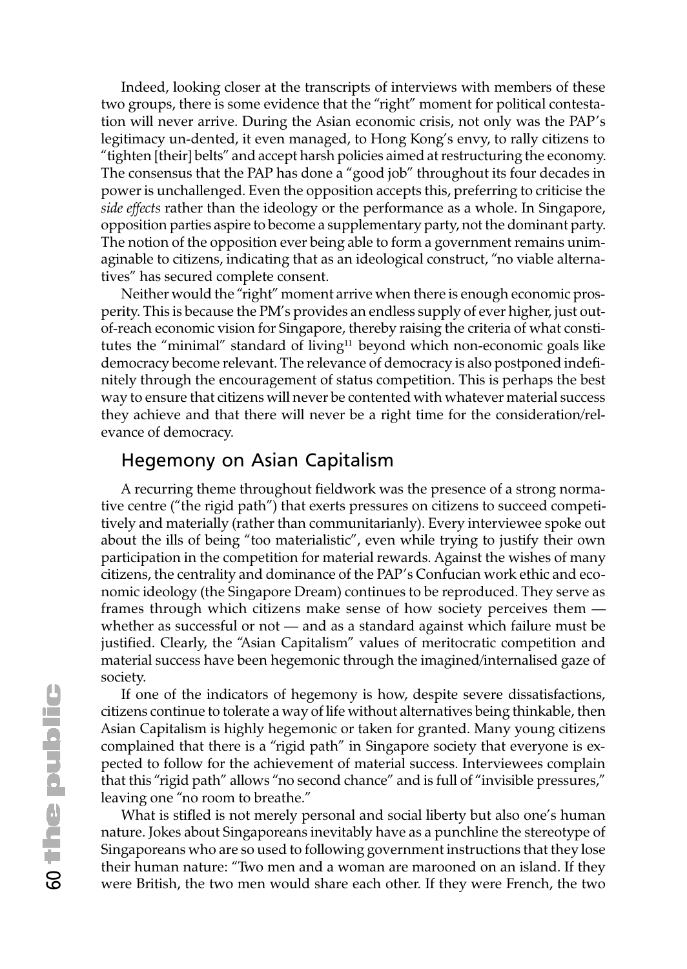Indeed, looking closer at the transcripts of interviews with members of these two groups, there is some evidence that the "right" moment for political contestation will never arrive. During the Asian economic crisis, not only was the PAP's legitimacy un-dented, it even managed, to Hong Kong's envy, to rally citizens to "tighten [their] belts" and accept harsh policies aimed at restructuring the economy. The consensus that the PAP has done a "good job" throughout its four decades in power is unchallenged. Even the opposition accepts this, preferring to criticise the side effects rather than the ideology or the performance as a whole. In Singapore, opposition parties aspire to become a supplementary party, not the dominant party. The notion of the opposition ever being able to form a government remains unimaginable to citizens, indicating that as an ideological construct, "no viable alternatives" has secured complete consent.

Neither would the "right" moment arrive when there is enough economic prosperity. This is because the PM's provides an endless supply of ever higher, just outof-reach economic vision for Singapore, thereby raising the criteria of what constitutes the "minimal" standard of living $11$  beyond which non-economic goals like democracy become relevant. The relevance of democracy is also postponed indefinitely through the encouragement of status competition. This is perhaps the best way to ensure that citizens will never be contented with whatever material success they achieve and that there will never be a right time for the consideration/relevance of democracy.

#### Hegemony on Asian Capitalism

A recurring theme throughout fieldwork was the presence of a strong normative centre ("the rigid path") that exerts pressures on citizens to succeed competitively and materially (rather than communitarianly). Every interviewee spoke out about the ills of being "too materialistic", even while trying to justify their own participation in the competition for material rewards. Against the wishes of many citizens, the centrality and dominance of the PAP's Confucian work ethic and economic ideology (the Singapore Dream) continues to be reproduced. They serve as frames through which citizens make sense of how society perceives them whether as successful or not  $-$  and as a standard against which failure must be justified. Clearly, the "Asian Capitalism" values of meritocratic competition and material success have been hegemonic through the imagined/internalised gaze of society.

If one of the indicators of hegemony is how, despite severe dissatisfactions, citizens continue to tolerate a way of life without alternatives being thinkable, then Asian Capitalism is highly hegemonic or taken for granted. Many young citizens complained that there is a "rigid path" in Singapore society that everyone is expected to follow for the achievement of material success. Interviewees complain that this "rigid path" allows "no second chance" and is full of "invisible pressures," leaving one "no room to breathe."

What is stifled is not merely personal and social liberty but also one's human nature. Jokes about Singaporeans inevitably have as a punchline the stereotype of Singaporeans who are so used to following government instructions that they lose their human nature: "Two men and a woman are marooned on an island. If they were British, the two men would share each other. If they were French, the two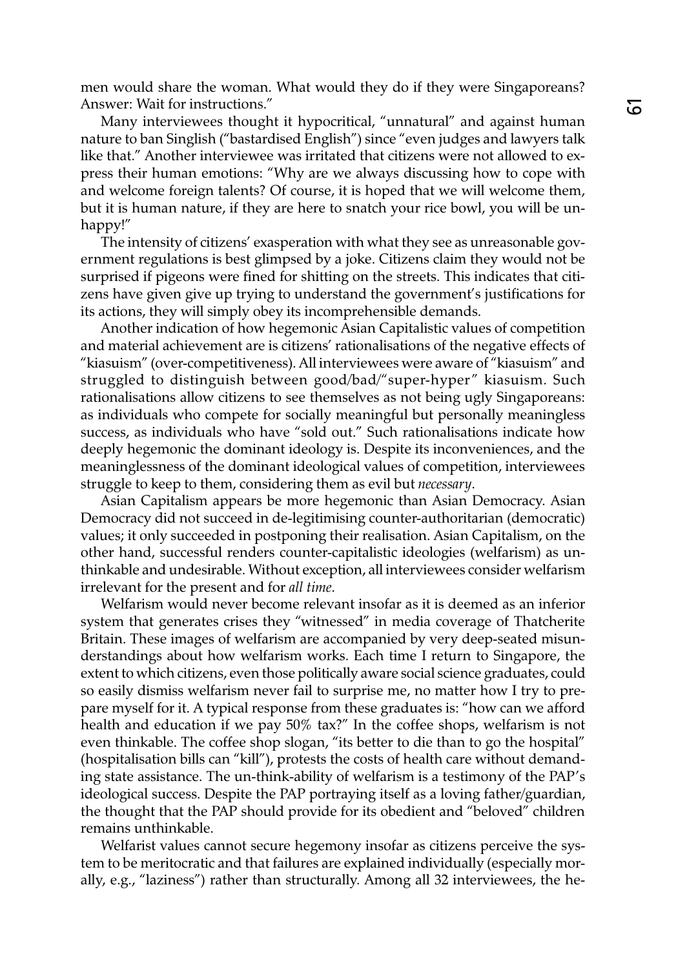men would share the woman. What would they do if they were Singaporeans? Answer: Wait for instructions.

Many interviewees thought it hypocritical, "unnatural" and against human nature to ban Singlish ("bastardised English") since "even judges and lawyers talk like that." Another interviewee was irritated that citizens were not allowed to express their human emotions: Why are we always discussing how to cope with and welcome foreign talents? Of course, it is hoped that we will welcome them, but it is human nature, if they are here to snatch your rice bowl, you will be unhappy!

The intensity of citizens' exasperation with what they see as unreasonable government regulations is best glimpsed by a joke. Citizens claim they would not be surprised if pigeons were fined for shitting on the streets. This indicates that citizens have given give up trying to understand the government's justifications for its actions, they will simply obey its incomprehensible demands.

Another indication of how hegemonic Asian Capitalistic values of competition and material achievement are is citizens' rationalisations of the negative effects of "kiasuism" (over-competitiveness). All interviewees were aware of "kiasuism" and struggled to distinguish between good/bad/"super-hyper" kiasuism. Such rationalisations allow citizens to see themselves as not being ugly Singaporeans: as individuals who compete for socially meaningful but personally meaningless success, as individuals who have "sold out." Such rationalisations indicate how deeply hegemonic the dominant ideology is. Despite its inconveniences, and the meaninglessness of the dominant ideological values of competition, interviewees struggle to keep to them, considering them as evil but necessary.

Asian Capitalism appears be more hegemonic than Asian Democracy. Asian Democracy did not succeed in de-legitimising counter-authoritarian (democratic) values; it only succeeded in postponing their realisation. Asian Capitalism, on the other hand, successful renders counter-capitalistic ideologies (welfarism) as unthinkable and undesirable. Without exception, all interviewees consider welfarism irrelevant for the present and for all time.

Welfarism would never become relevant insofar as it is deemed as an inferior system that generates crises they "witnessed" in media coverage of Thatcherite Britain. These images of welfarism are accompanied by very deep-seated misunderstandings about how welfarism works. Each time I return to Singapore, the extent to which citizens, even those politically aware social science graduates, could so easily dismiss welfarism never fail to surprise me, no matter how I try to prepare myself for it. A typical response from these graduates is: "how can we afford health and education if we pay 50% tax?" In the coffee shops, welfarism is not even thinkable. The coffee shop slogan, "its better to die than to go the hospital" (hospitalisation bills can "kill"), protests the costs of health care without demanding state assistance. The un-think-ability of welfarism is a testimony of the PAP's ideological success. Despite the PAP portraying itself as a loving father/guardian, the thought that the PAP should provide for its obedient and "beloved" children remains unthinkable.

Welfarist values cannot secure hegemony insofar as citizens perceive the system to be meritocratic and that failures are explained individually (especially morally, e.g., "laziness") rather than structurally. Among all 32 interviewees, the he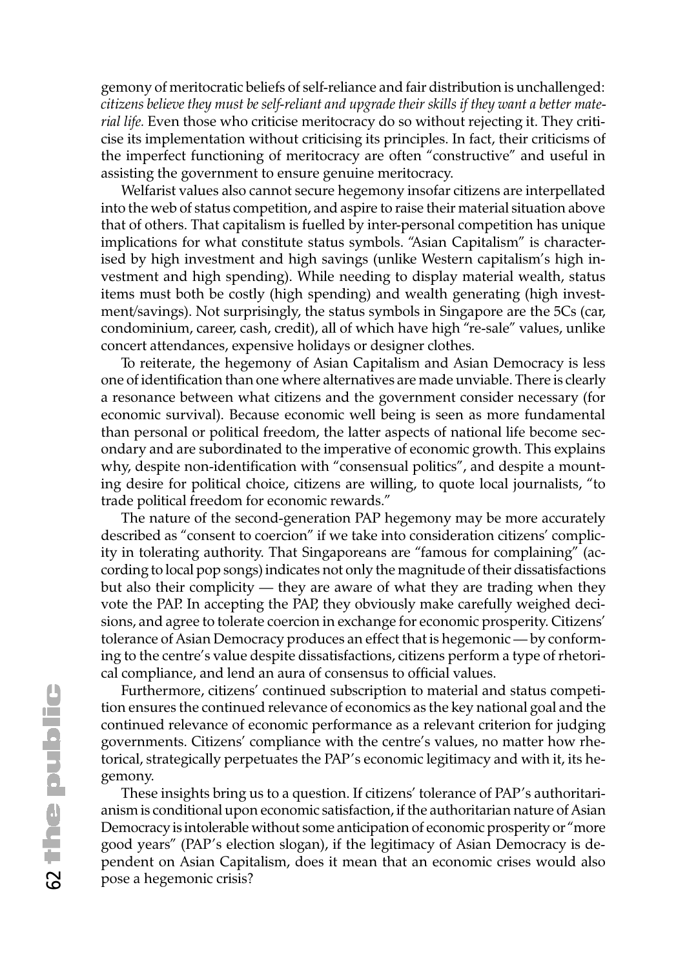gemony of meritocratic beliefs of self-reliance and fair distribution is unchallenged: citizens believe they must be self-reliant and upgrade their skills if they want a better material life. Even those who criticise meritocracy do so without rejecting it. They criticise its implementation without criticising its principles. In fact, their criticisms of the imperfect functioning of meritocracy are often "constructive" and useful in assisting the government to ensure genuine meritocracy.

Welfarist values also cannot secure hegemony insofar citizens are interpellated into the web of status competition, and aspire to raise their material situation above that of others. That capitalism is fuelled by inter-personal competition has unique implications for what constitute status symbols. "Asian Capitalism" is characterised by high investment and high savings (unlike Western capitalism's high investment and high spending). While needing to display material wealth, status items must both be costly (high spending) and wealth generating (high investment/savings). Not surprisingly, the status symbols in Singapore are the 5Cs (car, condominium, career, cash, credit), all of which have high "re-sale" values, unlike concert attendances, expensive holidays or designer clothes.

To reiterate, the hegemony of Asian Capitalism and Asian Democracy is less one of identification than one where alternatives are made unviable. There is clearly a resonance between what citizens and the government consider necessary (for economic survival). Because economic well being is seen as more fundamental than personal or political freedom, the latter aspects of national life become secondary and are subordinated to the imperative of economic growth. This explains why, despite non-identification with "consensual politics", and despite a mounting desire for political choice, citizens are willing, to quote local journalists, "to trade political freedom for economic rewards.

The nature of the second-generation PAP hegemony may be more accurately described as "consent to coercion" if we take into consideration citizens' complicity in tolerating authority. That Singaporeans are "famous for complaining" (according to local pop songs) indicates not only the magnitude of their dissatisfactions but also their complicity  $-$  they are aware of what they are trading when they vote the PAP. In accepting the PAP, they obviously make carefully weighed decisions, and agree to tolerate coercion in exchange for economic prosperity. Citizens tolerance of Asian Democracy produces an effect that is hegemonic — by conforming to the centre's value despite dissatisfactions, citizens perform a type of rhetorical compliance, and lend an aura of consensus to official values.

Furthermore, citizens' continued subscription to material and status competition ensures the continued relevance of economics as the key national goal and the continued relevance of economic performance as a relevant criterion for judging governments. Citizens' compliance with the centre's values, no matter how rhetorical, strategically perpetuates the PAP's economic legitimacy and with it, its hegemony.

These insights bring us to a question. If citizens' tolerance of PAP's authoritarianism is conditional upon economic satisfaction, if the authoritarian nature of Asian Democracy is intolerable without some anticipation of economic prosperity or "more good years" (PAP's election slogan), if the legitimacy of Asian Democracy is dependent on Asian Capitalism, does it mean that an economic crises would also pose a hegemonic crisis?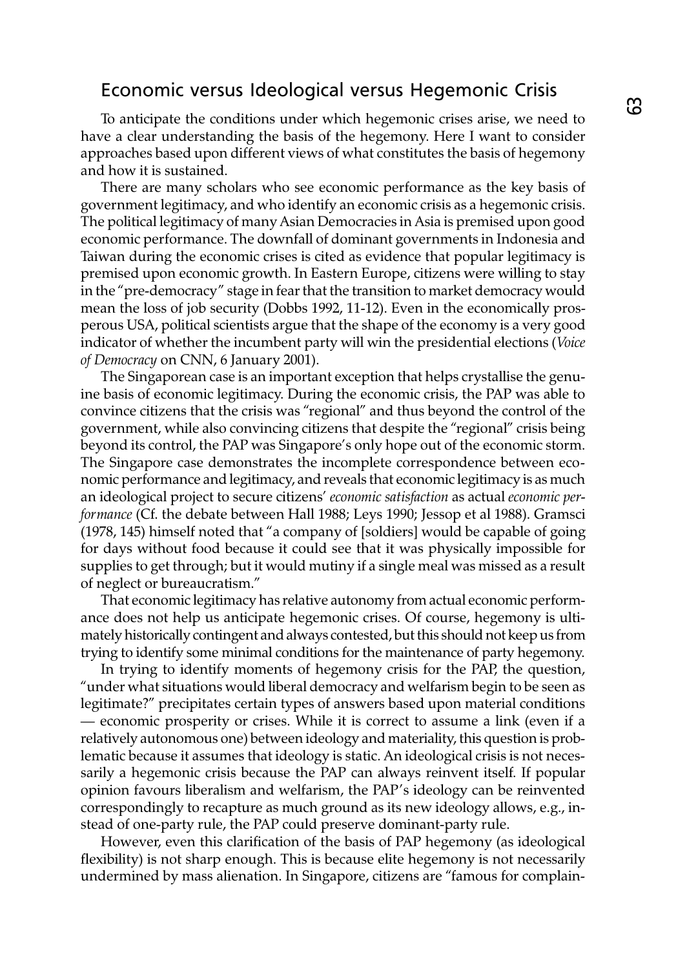#### Economic versus Ideological versus Hegemonic Crisis

To anticipate the conditions under which hegemonic crises arise, we need to have a clear understanding the basis of the hegemony. Here I want to consider approaches based upon different views of what constitutes the basis of hegemony and how it is sustained.

There are many scholars who see economic performance as the key basis of government legitimacy, and who identify an economic crisis as a hegemonic crisis. The political legitimacy of many Asian Democracies in Asia is premised upon good economic performance. The downfall of dominant governments in Indonesia and Taiwan during the economic crises is cited as evidence that popular legitimacy is premised upon economic growth. In Eastern Europe, citizens were willing to stay in the "pre-democracy" stage in fear that the transition to market democracy would mean the loss of job security (Dobbs 1992, 11-12). Even in the economically prosperous USA, political scientists argue that the shape of the economy is a very good indicator of whether the incumbent party will win the presidential elections (Voice of Democracy on CNN, 6 January 2001).

The Singaporean case is an important exception that helps crystallise the genuine basis of economic legitimacy. During the economic crisis, the PAP was able to convince citizens that the crisis was "regional" and thus beyond the control of the government, while also convincing citizens that despite the "regional" crisis being beyond its control, the PAP was Singapore's only hope out of the economic storm. The Singapore case demonstrates the incomplete correspondence between economic performance and legitimacy, and reveals that economic legitimacy is as much an ideological project to secure citizens' economic satisfaction as actual economic performance (Cf. the debate between Hall 1988; Leys 1990; Jessop et al 1988). Gramsci  $(1978, 145)$  himself noted that "a company of [soldiers] would be capable of going for days without food because it could see that it was physically impossible for supplies to get through; but it would mutiny if a single meal was missed as a result of neglect or bureaucratism.

That economic legitimacy has relative autonomy from actual economic performance does not help us anticipate hegemonic crises. Of course, hegemony is ultimately historically contingent and always contested, but this should not keep us from trying to identify some minimal conditions for the maintenance of party hegemony.

In trying to identify moments of hegemony crisis for the PAP, the question, under what situations would liberal democracy and welfarism begin to be seen as legitimate?" precipitates certain types of answers based upon material conditions economic prosperity or crises. While it is correct to assume a link (even if a relatively autonomous one) between ideology and materiality, this question is problematic because it assumes that ideology is static. An ideological crisis is not necessarily a hegemonic crisis because the PAP can always reinvent itself. If popular opinion favours liberalism and welfarism, the PAP's ideology can be reinvented correspondingly to recapture as much ground as its new ideology allows, e.g., instead of one-party rule, the PAP could preserve dominant-party rule.

However, even this clarification of the basis of PAP hegemony (as ideological flexibility) is not sharp enough. This is because elite hegemony is not necessarily undermined by mass alienation. In Singapore, citizens are "famous for complain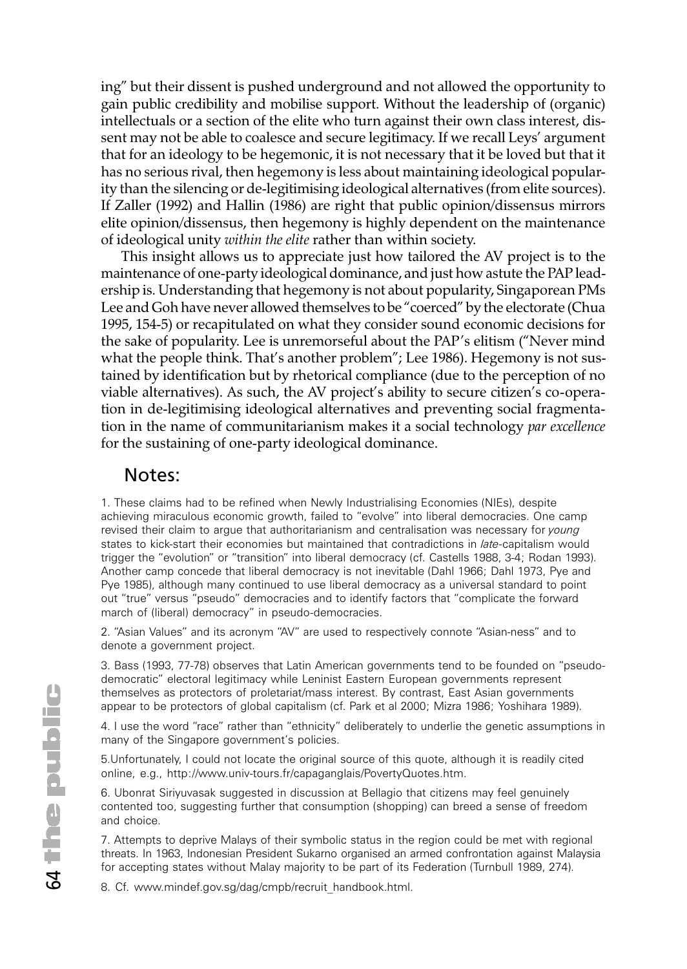ing" but their dissent is pushed underground and not allowed the opportunity to gain public credibility and mobilise support. Without the leadership of (organic) intellectuals or a section of the elite who turn against their own class interest, dissent may not be able to coalesce and secure legitimacy. If we recall Leys' argument that for an ideology to be hegemonic, it is not necessary that it be loved but that it has no serious rival, then hegemony is less about maintaining ideological popularity than the silencing or de-legitimising ideological alternatives (from elite sources). If Zaller (1992) and Hallin (1986) are right that public opinion/dissensus mirrors elite opinion/dissensus, then hegemony is highly dependent on the maintenance of ideological unity within the elite rather than within society.

This insight allows us to appreciate just how tailored the AV project is to the maintenance of one-party ideological dominance, and just how astute the PAP leadership is. Understanding that hegemony is not about popularity, Singaporean PMs Lee and Goh have never allowed themselves to be "coerced" by the electorate (Chua 1995, 154-5) or recapitulated on what they consider sound economic decisions for the sake of popularity. Lee is unremorseful about the PAP's elitism ("Never mind what the people think. That's another problem"; Lee 1986). Hegemony is not sustained by identification but by rhetorical compliance (due to the perception of no viable alternatives). As such, the AV project's ability to secure citizen's co-operation in de-legitimising ideological alternatives and preventing social fragmentation in the name of communitarianism makes it a social technology *par excellence* for the sustaining of one-party ideological dominance.

#### Notes:

1. These claims had to be refined when Newly Industrialising Economies (NIEs), despite achieving miraculous economic growth, failed to "evolve" into liberal democracies. One camp revised their claim to argue that authoritarianism and centralisation was necessary for young states to kick-start their economies but maintained that contradictions in *late-capitalism would* trigger the "evolution" or "transition" into liberal democracy (cf. Castells 1988, 3-4; Rodan 1993). Another camp concede that liberal democracy is not inevitable (Dahl 1966; Dahl 1973, Pye and Pye 1985), although many continued to use liberal democracy as a universal standard to point out "true" versus "pseudo" democracies and to identify factors that "complicate the forward march of (liberal) democracy" in pseudo-democracies.

2. "Asian Values" and its acronym "AV" are used to respectively connote "Asian-ness" and to denote a government project.

3. Bass (1993, 77-78) observes that Latin American governments tend to be founded on "pseudodemocratic" electoral legitimacy while Leninist Eastern European governments represent themselves as protectors of proletariat/mass interest. By contrast, East Asian governments appear to be protectors of global capitalism (cf. Park et al 2000; Mizra 1986; Yoshihara 1989).

4. I use the word "race" rather than "ethnicity" deliberately to underlie the genetic assumptions in many of the Singapore government's policies.

5.Unfortunately, I could not locate the original source of this quote, although it is readily cited online, e.g., http://www.univ-tours.fr/capaganglais/PovertyQuotes.htm.

6. Ubonrat Siriyuvasak suggested in discussion at Bellagio that citizens may feel genuinely contented too, suggesting further that consumption (shopping) can breed a sense of freedom and choice.

7. Attempts to deprive Malays of their symbolic status in the region could be met with regional threats. In 1963, Indonesian President Sukarno organised an armed confrontation against Malaysia for accepting states without Malay majority to be part of its Federation (Turnbull 1989, 274).

8. Cf. www.mindef.gov.sg/dag/cmpb/recruit\_handbook.html.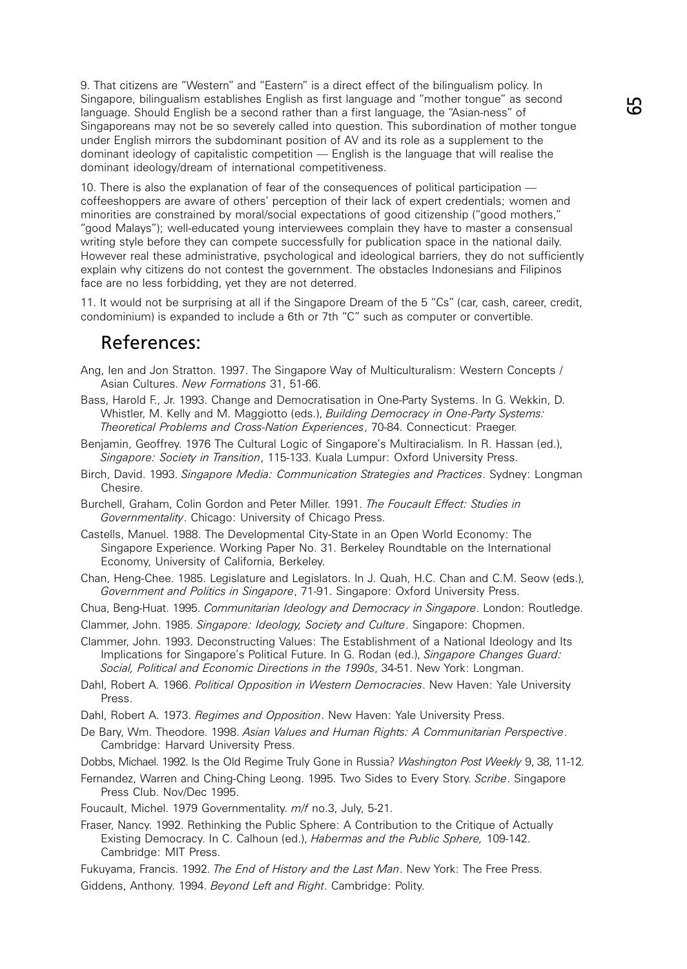9. That citizens are "Western" and "Eastern" is a direct effect of the bilingualism policy. In Singapore, bilingualism establishes English as first language and "mother tongue" as second language. Should English be a second rather than a first language, the "Asian-ness" of Singaporeans may not be so severely called into question. This subordination of mother tongue under English mirrors the subdominant position of AV and its role as a supplement to the dominant ideology of capitalistic competition – English is the language that will realise the dominant ideology/dream of international competitiveness.

10. There is also the explanation of fear of the consequences of political participation coffeeshoppers are aware of others' perception of their lack of expert credentials; women and minorities are constrained by moral/social expectations of good citizenship ("good mothers," "good Malays"); well-educated young interviewees complain they have to master a consensual writing style before they can compete successfully for publication space in the national daily. However real these administrative, psychological and ideological barriers, they do not sufficiently explain why citizens do not contest the government. The obstacles Indonesians and Filipinos face are no less forbidding, yet they are not deterred.

11. It would not be surprising at all if the Singapore Dream of the 5 "Cs" (car, cash, career, credit, condominium) is expanded to include a 6th or 7th "C" such as computer or convertible.

### References:

- Ang, Ien and Jon Stratton. 1997. The Singapore Way of Multiculturalism: Western Concepts / Asian Cultures. New Formations 31, 51-66.
- Bass, Harold F., Jr. 1993. Change and Democratisation in One-Party Systems. In G. Wekkin, D. Whistler, M. Kelly and M. Maggiotto (eds.), Building Democracy in One-Party Systems: Theoretical Problems and Cross-Nation Experiences, 70-84. Connecticut: Praeger.
- Benjamin, Geoffrey. 1976 The Cultural Logic of Singapore's Multiracialism. In R. Hassan (ed.), Singapore: Society in Transition, 115-133. Kuala Lumpur: Oxford University Press.
- Birch, David. 1993. Singapore Media: Communication Strategies and Practices. Sydney: Longman Chesire.
- Burchell, Graham, Colin Gordon and Peter Miller. 1991. The Foucault Effect: Studies in Governmentality. Chicago: University of Chicago Press.
- Castells, Manuel. 1988. The Developmental City-State in an Open World Economy: The Singapore Experience. Working Paper No. 31. Berkeley Roundtable on the International Economy, University of California, Berkeley.
- Chan, Heng-Chee. 1985. Legislature and Legislators. In J. Quah, H.C. Chan and C.M. Seow (eds.), Government and Politics in Singapore, 71-91. Singapore: Oxford University Press.
- Chua, Beng-Huat. 1995. Communitarian Ideology and Democracy in Singapore. London: Routledge.
- Clammer, John. 1985. Singapore: Ideology, Society and Culture. Singapore: Chopmen.
- Clammer, John. 1993. Deconstructing Values: The Establishment of a National Ideology and Its Implications for Singapore's Political Future. In G. Rodan (ed.), Singapore Changes Guard: Social, Political and Economic Directions in the 1990s, 34-51. New York: Longman.
- Dahl, Robert A. 1966. Political Opposition in Western Democracies. New Haven: Yale University Press.
- Dahl, Robert A. 1973. Regimes and Opposition. New Haven: Yale University Press.
- De Bary, Wm. Theodore. 1998. Asian Values and Human Rights: A Communitarian Perspective. Cambridge: Harvard University Press.
- Dobbs, Michael. 1992. Is the Old Regime Truly Gone in Russia? Washington Post Weekly 9, 38, 11-12.
- Fernandez, Warren and Ching-Ching Leong. 1995. Two Sides to Every Story. Scribe. Singapore Press Club. Nov/Dec 1995.
- Foucault, Michel. 1979 Governmentality. m/f no.3, July, 5-21.
- Fraser, Nancy. 1992. Rethinking the Public Sphere: A Contribution to the Critique of Actually Existing Democracy. In C. Calhoun (ed.), Habermas and the Public Sphere, 109-142. Cambridge: MIT Press.
- Fukuyama, Francis. 1992. The End of History and the Last Man. New York: The Free Press.

Giddens, Anthony. 1994. Beyond Left and Right. Cambridge: Polity.